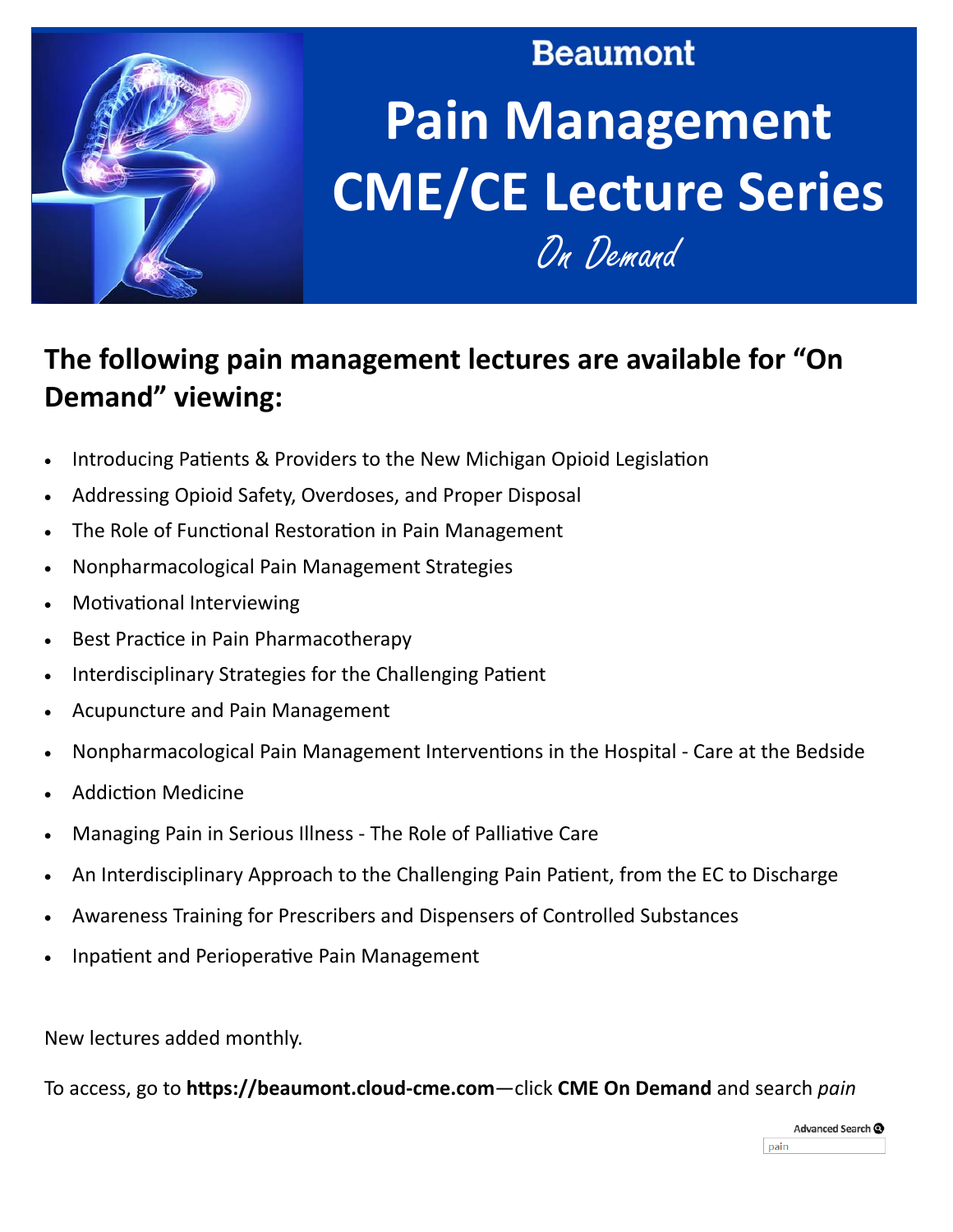

# **Beaumont Pain Management CME/CE Lecture Series**

On Demand

## The following pain management lectures are available for "On **Demand"** viewing:

- Introducing Patients & Providers to the New Michigan Opioid Legislation  $\bullet$
- Addressing Opioid Safety, Overdoses, and Proper Disposal  $\bullet$
- The Role of Functional Restoration in Pain Management  $\bullet$
- Nonpharmacological Pain Management Strategies  $\bullet$
- **Motivational Interviewing**  $\bullet$
- Best Practice in Pain Pharmacotherapy  $\bullet$
- Interdisciplinary Strategies for the Challenging Patient  $\bullet$
- Acupuncture and Pain Management  $\bullet$
- Nonpharmacological Pain Management Interventions in the Hospital Care at the Bedside  $\bullet$
- **Addiction Medicine**
- Managing Pain in Serious Illness The Role of Palliative Care  $\bullet$
- An Interdisciplinary Approach to the Challenging Pain Patient, from the EC to Discharge  $\bullet$
- Awareness Training for Prescribers and Dispensers of Controlled Substances
- Inpatient and Perioperative Pain Management

New lectures added monthly.

To access, go to https://beaumont.cloud-cme.com-click CME On Demand and search pain

Advanced Search @ pain